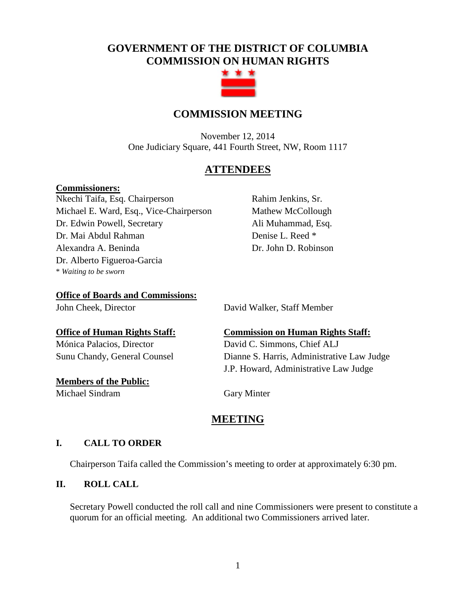# **GOVERNMENT OF THE DISTRICT OF COLUMBIA COMMISSION ON HUMAN RIGHTS**



# **COMMISSION MEETING**

November 12, 2014 One Judiciary Square, 441 Fourth Street, NW, Room 1117

# **ATTENDEES**

#### **Commissioners:**

Nkechi Taifa, Esq. Chairperson Michael E. Ward, Esq., Vice-Chairperson Dr. Edwin Powell, Secretary Dr. Mai Abdul Rahman Alexandra A. Beninda Dr. Alberto Figueroa-Garcia \* *Waiting to be sworn*

Rahim Jenkins, Sr. Mathew McCollough Ali Muhammad, Esq. Denise L. Reed \* Dr. John D. Robinson

**Office of Boards and Commissions:**

John Cheek, Director David Walker, Staff Member

Mónica Palacios, Director David C. Simmons, Chief ALJ

**Members of the Public:** Michael Sindram Gary Minter

**Office of Human Rights Staff: Commission on Human Rights Staff:** Sunu Chandy, General Counsel Dianne S. Harris, Administrative Law Judge J.P. Howard, Administrative Law Judge

# **MEETING**

# **I. CALL TO ORDER**

Chairperson Taifa called the Commission's meeting to order at approximately 6:30 pm.

# **II. ROLL CALL**

Secretary Powell conducted the roll call and nine Commissioners were present to constitute a quorum for an official meeting. An additional two Commissioners arrived later.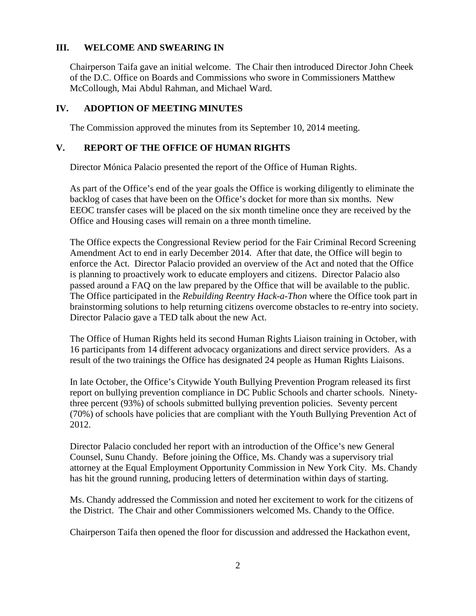# **III. WELCOME AND SWEARING IN**

Chairperson Taifa gave an initial welcome. The Chair then introduced Director John Cheek of the D.C. Office on Boards and Commissions who swore in Commissioners Matthew McCollough, Mai Abdul Rahman, and Michael Ward.

#### **IV. ADOPTION OF MEETING MINUTES**

The Commission approved the minutes from its September 10, 2014 meeting.

## **V. REPORT OF THE OFFICE OF HUMAN RIGHTS**

Director Mónica Palacio presented the report of the Office of Human Rights.

As part of the Office's end of the year goals the Office is working diligently to eliminate the backlog of cases that have been on the Office's docket for more than six months. New EEOC transfer cases will be placed on the six month timeline once they are received by the Office and Housing cases will remain on a three month timeline.

The Office expects the Congressional Review period for the Fair Criminal Record Screening Amendment Act to end in early December 2014. After that date, the Office will begin to enforce the Act. Director Palacio provided an overview of the Act and noted that the Office is planning to proactively work to educate employers and citizens. Director Palacio also passed around a FAQ on the law prepared by the Office that will be available to the public. The Office participated in the *Rebuilding Reentry Hack-a-Thon* where the Office took part in brainstorming solutions to help returning citizens overcome obstacles to re-entry into society. Director Palacio gave a TED talk about the new Act.

The Office of Human Rights held its second Human Rights Liaison training in October, with 16 participants from 14 different advocacy organizations and direct service providers. As a result of the two trainings the Office has designated 24 people as Human Rights Liaisons.

In late October, the Office's Citywide Youth Bullying Prevention Program released its first report on bullying prevention compliance in DC Public Schools and charter schools. Ninetythree percent (93%) of schools submitted bullying prevention policies. Seventy percent (70%) of schools have policies that are compliant with the Youth Bullying Prevention Act of 2012.

Director Palacio concluded her report with an introduction of the Office's new General Counsel, Sunu Chandy. Before joining the Office, Ms. Chandy was a supervisory trial attorney at the Equal Employment Opportunity Commission in New York City. Ms. Chandy has hit the ground running, producing letters of determination within days of starting.

Ms. Chandy addressed the Commission and noted her excitement to work for the citizens of the District. The Chair and other Commissioners welcomed Ms. Chandy to the Office.

Chairperson Taifa then opened the floor for discussion and addressed the Hackathon event,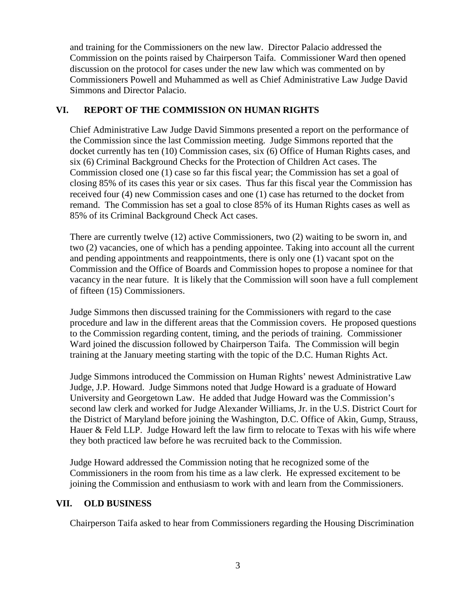and training for the Commissioners on the new law. Director Palacio addressed the Commission on the points raised by Chairperson Taifa. Commissioner Ward then opened discussion on the protocol for cases under the new law which was commented on by Commissioners Powell and Muhammed as well as Chief Administrative Law Judge David Simmons and Director Palacio.

# **VI. REPORT OF THE COMMISSION ON HUMAN RIGHTS**

Chief Administrative Law Judge David Simmons presented a report on the performance of the Commission since the last Commission meeting. Judge Simmons reported that the docket currently has ten (10) Commission cases, six (6) Office of Human Rights cases, and six (6) Criminal Background Checks for the Protection of Children Act cases. The Commission closed one (1) case so far this fiscal year; the Commission has set a goal of closing 85% of its cases this year or six cases. Thus far this fiscal year the Commission has received four (4) new Commission cases and one (1) case has returned to the docket from remand. The Commission has set a goal to close 85% of its Human Rights cases as well as 85% of its Criminal Background Check Act cases.

There are currently twelve (12) active Commissioners, two (2) waiting to be sworn in, and two (2) vacancies, one of which has a pending appointee. Taking into account all the current and pending appointments and reappointments, there is only one (1) vacant spot on the Commission and the Office of Boards and Commission hopes to propose a nominee for that vacancy in the near future. It is likely that the Commission will soon have a full complement of fifteen (15) Commissioners.

Judge Simmons then discussed training for the Commissioners with regard to the case procedure and law in the different areas that the Commission covers. He proposed questions to the Commission regarding content, timing, and the periods of training. Commissioner Ward joined the discussion followed by Chairperson Taifa. The Commission will begin training at the January meeting starting with the topic of the D.C. Human Rights Act.

Judge Simmons introduced the Commission on Human Rights' newest Administrative Law Judge, J.P. Howard. Judge Simmons noted that Judge Howard is a graduate of Howard University and Georgetown Law. He added that Judge Howard was the Commission's second law clerk and worked for Judge Alexander Williams, Jr. in the U.S. District Court for the District of Maryland before joining the Washington, D.C. Office of Akin, Gump, Strauss, Hauer & Feld LLP. Judge Howard left the law firm to relocate to Texas with his wife where they both practiced law before he was recruited back to the Commission.

Judge Howard addressed the Commission noting that he recognized some of the Commissioners in the room from his time as a law clerk. He expressed excitement to be joining the Commission and enthusiasm to work with and learn from the Commissioners.

## **VII. OLD BUSINESS**

Chairperson Taifa asked to hear from Commissioners regarding the Housing Discrimination